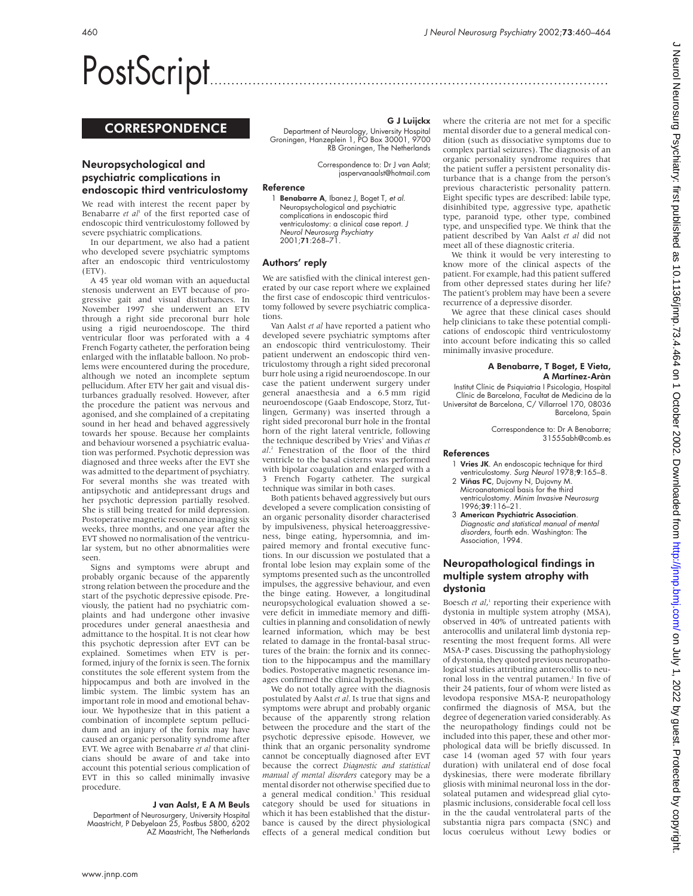# PostScript..............................................................................................

# **CORRESPONDENCE**

# Neuropsychological and psychiatric complications in endoscopic third ventriculostomy

We read with interest the recent paper by Benabarre *et al*<sup>1</sup> of the first reported case of endoscopic third ventriculostomy followed by severe psychiatric complications.

In our department, we also had a patient who developed severe psychiatric symptoms after an endoscopic third ventriculostomy (ETV).

A 45 year old woman with an aqueductal stenosis underwent an EVT because of progressive gait and visual disturbances. In November 1997 she underwent an ETV through a right side precoronal burr hole using a rigid neuroendoscope. The third ventricular floor was perforated with a 4 French Fogarty catheter, the perforation being enlarged with the inflatable balloon. No problems were encountered during the procedure, although we noted an incomplete septum pellucidum. After ETV her gait and visual disturbances gradually resolved. However, after the procedure the patient was nervous and agonised, and she complained of a crepitating sound in her head and behaved aggressively towards her spouse. Because her complaints and behaviour worsened a psychiatric evaluation was performed. Psychotic depression was diagnosed and three weeks after the EVT she was admitted to the department of psychiatry. For several months she was treated with antipsychotic and antidepressant drugs and her psychotic depression partially resolved. She is still being treated for mild depression. Postoperative magnetic resonance imaging six weeks, three months, and one year after the EVT showed no normalisation of the ventricular system, but no other abnormalities were seen.

Signs and symptoms were abrupt and probably organic because of the apparently strong relation between the procedure and the start of the psychotic depressive episode. Previously, the patient had no psychiatric complaints and had undergone other invasive procedures under general anaesthesia and admittance to the hospital. It is not clear how this psychotic depression after EVT can be explained. Sometimes when ETV is performed, injury of the fornix is seen. The fornix constitutes the sole efferent system from the hippocampus and both are involved in the limbic system. The limbic system has an important role in mood and emotional behaviour. We hypothesize that in this patient a combination of incomplete septum pellucidum and an injury of the fornix may have caused an organic personality syndrome after EVT. We agree with Benabarre *et al* that clinicians should be aware of and take into account this potential serious complication of EVT in this so called minimally invasive procedure.

# J van Aalst,EAM Beuls

Department of Neurosurgery, University Hospital Maastricht, P Debyelaan 25, Postbus 5800, 6202 AZ Maastricht, The Netherlands G J Luijckx

Department of Neurology, University Hospital Groningen, Hanzeplein 1, PO Box 30001, 9700 RB Groningen, The Netherlands

> Correspondence to: Dr J van Aalst; jaspervanaalst@hotmail.com

#### Reference

Benabarre A, Ibanez J, Boget T, et al. Neuropsychological and psychiatric complications in endoscopic third ventriculostomy: a clinical case report. J Neurol Neurosurg Psychiatry 2001;71:268–71.

## Authors' reply

We are satisfied with the clinical interest generated by our case report where we explained the first case of endoscopic third ventriculostomy followed by severe psychiatric complications.

Van Aalst *et al* have reported a patient who developed severe psychiatric symptoms after an endoscopic third ventriculostomy. Their patient underwent an endoscopic third ventriculostomy through a right sided precoronal burr hole using a rigid neuroendoscope. In our case the patient underwent surgery under general anaesthesia and a 6.5 mm rigid neuroendoscope (Gaab Endoscope, Storz, Tutlingen, Germany) was inserted through a right sided precoronal burr hole in the frontal horn of the right lateral ventricle, following the technique described by Vries<sup>1</sup> and Viñas et *al*. <sup>2</sup> Fenestration of the floor of the third ventricle to the basal cisterns was performed with bipolar coagulation and enlarged with a 3 French Fogarty catheter. The surgical technique was similar in both cases.

Both patients behaved aggressively but ours developed a severe complication consisting of an organic personality disorder characterised by impulsiveness, physical heteroaggressiveness, binge eating, hypersomnia, and impaired memory and frontal executive functions. In our discussion we postulated that a frontal lobe lesion may explain some of the symptoms presented such as the uncontrolled impulses, the aggressive behaviour, and even the binge eating. However, a longitudinal neuropsychological evaluation showed a severe deficit in immediate memory and difficulties in planning and consolidation of newly learned information, which may be best related to damage in the frontal-basal structures of the brain: the fornix and its connection to the hippocampus and the mamillary bodies. Postoperative magnetic resonance images confirmed the clinical hypothesis.

We do not totally agree with the diagnosis postulated by Aalst *et al*. Is true that signs and symptoms were abrupt and probably organic because of the apparently strong relation between the procedure and the start of the psychotic depressive episode. However, we think that an organic personality syndrome cannot be conceptually diagnosed after EVT because the correct *Diagnostic and statistical manual of mental disorders* category may be a mental disorder not otherwise specified due to a general medical condition.<sup>3</sup> This residual category should be used for situations in which it has been established that the disturbance is caused by the direct physiological effects of a general medical condition but where the criteria are not met for a specific mental disorder due to a general medical condition (such as dissociative symptoms due to complex partial seizures). The diagnosis of an organic personality syndrome requires that the patient suffer a persistent personality disturbance that is a change from the person's previous characteristic personality pattern. Eight specific types are described: labile type, disinhibited type, aggressive type, apathetic type, paranoid type, other type, combined type, and unspecified type. We think that the patient described by Van Aalst *et al* did not meet all of these diagnostic criteria.

We think it would be very interesting to know more of the clinical aspects of the patient. For example, had this patient suffered from other depressed states during her life? The patient's problem may have been a severe recurrence of a depressive disorder.

We agree that these clinical cases should help clinicians to take these potential complications of endoscopic third ventriculostomy into account before indicating this so called minimally invasive procedure.

#### A Benabarre, T Boget, E Vieta, A Martínez-Aràn

Institut Clínic de Psiquiatria I Psicologia, Hospital Clínic de Barcelona, Facultat de Medicina de la Universitat de Barcelona, C/ Villarroel 170, 08036 Barcelona, Spain

> Correspondence to: Dr A Benabarre; 31555abh@comb.es

#### References

- 1 Vries JK. An endoscopic technique for third ventriculostomy. Surg Neurol 1978;9:165–8.<br>2 Viñas FC, Dujovny N, Dujovny M.
- Microanatomical basis for the third ventriculostomy. *Minim Invasive Neurosurg*<br>1996;**39**:116–21.
- 3 American Psychiatric Association. Diagnostic and statistical manual of mental disorders, fourth edn. Washington: The Association, 1994.

# Neuropathological findings in multiple system atrophy with dystonia

Boesch *et al*,<sup>1</sup> reporting their experience with dystonia in multiple system atrophy (MSA), observed in 40% of untreated patients with anterocollis and unilateral limb dystonia representing the most frequent forms. All were MSA-P cases. Discussing the pathophysiology of dystonia, they quoted previous neuropathological studies attributing anterocollis to neuronal loss in the ventral putamen.<sup>2</sup> In five of their 24 patients, four of whom were listed as levodopa responsive MSA-P, neuropathology confirmed the diagnosis of MSA, but the degree of degeneration varied considerably. As the neuropathology findings could not be included into this paper, these and other morphological data will be briefly discussed. In case 14 (woman aged 57 with four years duration) with unilateral end of dose focal dyskinesias, there were moderate fibrillary gliosis with minimal neuronal loss in the dorsolateal putamen and widespread glial cytoplasmic inclusions, considerable focal cell loss in the the caudal ventrolateral parts of the substantia nigra pars compacta (SNC) and locus coeruleus without Lewy bodies or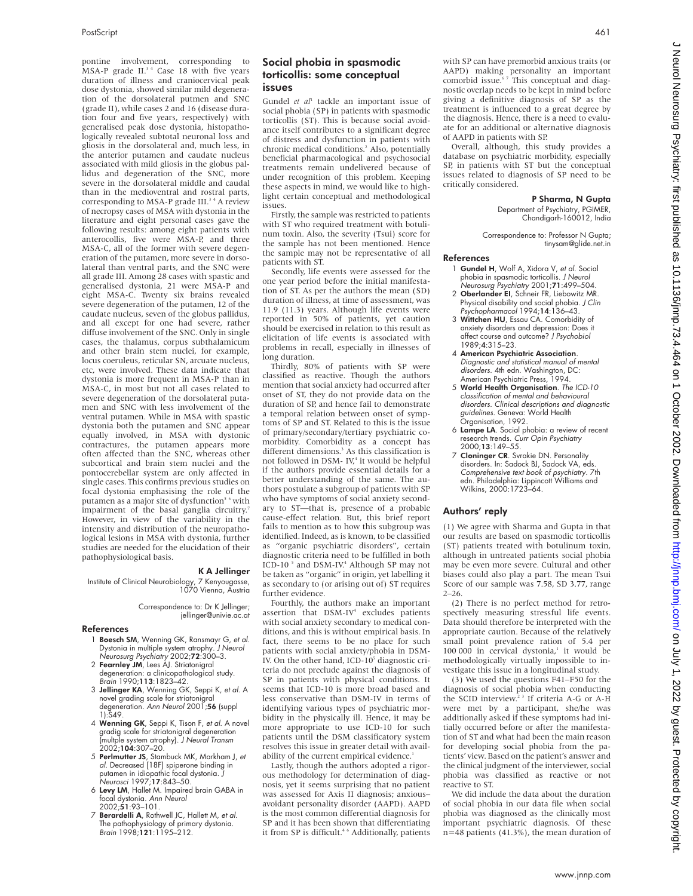pontine involvement, corresponding to MSA-P grade  $II.^34$  Case 18 with five years duration of illness and craniocervical peak dose dystonia, showed similar mild degeneration of the dorsolateral putmen and SNC (grade II), while cases 2 and 16 (disease duration four and five years, respectively) with generalised peak dose dystonia, histopathologically revealed subtotal neuronal loss and gliosis in the dorsolateral and, much less, in the anterior putamen and caudate nucleus associated with mild gliosis in the globus pallidus and degeneration of the SNC, more severe in the dorsolateral middle and caudal than in the medioventral and rostral parts, corresponding to MSA-P grade III.<sup>34</sup> A review of necropsy cases of MSA with dystonia in the literature and eight personal cases gave the following results: among eight patients with anterocollis, five were MSA-P, and three MSA-C, all of the former with severe degeneration of the putamen, more severe in dorsolateral than ventral parts, and the SNC were all grade III. Among 28 cases with spastic and generalised dystonia, 21 were MSA-P and eight MSA-C. Twenty six brains revealed severe degeneration of the putamen, 12 of the caudate nucleus, seven of the globus pallidus, and all except for one had severe, rather diffuse involvement of the SNC. Only in single cases, the thalamus, corpus subthalamicum and other brain stem nuclei, for example, locus coeruleus, reticular SN, arcuate nucleus, etc, were involved. These data indicate that dystonia is more frequent in MSA-P than in MSA-C, in most but not all cases related to severe degeneration of the dorsolateral putamen and SNC with less involvement of the ventral putamen. While in MSA with spastic dystonia both the putamen and SNC appear equally involved, in MSA with dystonic contractures, the putamen appears more often affected than the SNC, whereas other subcortical and brain stem nuclei and the pontocerebellar system are only affected in single cases. This confirms previous studies on focal dystonia emphasising the role of the putamen as a major site of dysfunction<sup>5 6</sup> with impairment of the basal ganglia circuitry.<sup>7</sup> However, in view of the variability in the intensity and distribution of the neuropathological lesions in MSA with dystonia, further studies are needed for the elucidation of their pathophysiological basis.

#### K A Jellinger

Institute of Clinical Neurobiology, 7 Kenyougasse, 1070 Vienna, Austria

Correspondence to: Dr K Jellinger; jellinger@univie.ac.at

#### References

- 1 Boesch SM, Wenning GK, Ransmayr G, et al. Dystonia in multiple system atrophy. J Neurol
- Neurosurg Psychiatry 2002;**72**:300–3.<br>2 **Fearnley JM**, Lees AJ. Striatonigral degeneration: a clinicopathological study. Brain 1990;**113**:1823-42.
- 3 Jellinger KA, Wenning GK, Seppi K, et al. A novel grading scale for striatonigral degeneration. Ann Neurol 2001;56 (suppl 1):S49.
- 4 Wenning GK, Seppi K, Tison F, et al. A novel gradig scale for striatonigral degeneration (multple system atrophy). J Neural Transm
- 2002;104:307–20. 5 Perlmutter JS, Stambuck MK, Markham J, et al. Decreased [18F] spiperone binding in putamen in idiopathic focal dystonia. J Neurosci 1997;17:843–50.
- 6 Levy LM, Hallet M. Impaired brain GABA in focal dystonia. Ann Neurol 2002;51:93–101.
- 7 **Berardelli A**, Rothwell JC, Hallett M, et al. The pathophysiology of primary dystonia.<br>*Brain* 1998;**121**:1195–212.

# Social phobia in spasmodic torticollis: some conceptual issues

Gundel *et al*<sup>1</sup> tackle an important issue of social phobia (SP) in patients with spasmodic torticollis (ST). This is because social avoidance itself contributes to a significant degree of distress and dysfunction in patients with chronic medical conditions.<sup>2</sup> Also, potentially beneficial pharmacological and psychosocial treatments remain undelivered because of under recognition of this problem. Keeping these aspects in mind, we would like to highlight certain conceptual and methodological issues.

Firstly, the sample was restricted to patients with ST who required treatment with botulinum toxin. Also, the severity (Tsui) score for the sample has not been mentioned. Hence the sample may not be representative of all patients with ST.

Secondly, life events were assessed for the one year period before the initial manifestation of ST. As per the authors the mean (SD) duration of illness, at time of assessment, was 11.9 (11.3) years. Although life events were reported in 50% of patients, yet caution should be exercised in relation to this result as elicitation of life events is associated with problems in recall, especially in illnesses of long duration.

Thirdly, 80% of patients with SP were classified as reactive. Though the authors mention that social anxiety had occurred after onset of ST, they do not provide data on the duration of SP, and hence fail to demonstrate a temporal relation between onset of symptoms of SP and ST. Related to this is the issue of primary/secondary/tertiary psychiatric comorbidity. Comorbidity as a concept has different dimensions.<sup>3</sup> As this classification is not followed in DSM- IV,<sup>4</sup> it would be helpful if the authors provide essential details for a better understanding of the same. The authors postulate a subgroup of patients with SP who have symptoms of social anxiety secondary to ST—that is, presence of a probable cause-effect relation. But, this brief report fails to mention as to how this subgroup was identified. Indeed, as is known, to be classified as "organic psychiatric disorders", certain diagnostic criteria need to be fulfilled in both ICD-10<sup>5</sup> and DSM-IV.<sup>4</sup> Although SP may not be taken as "organic" in origin, yet labelling it as secondary to (or arising out of) ST requires further evidence.

Fourthly, the authors make an important assertion that DSM-IV4 excludes patients with social anxiety secondary to medical conditions, and this is without empirical basis. In fact, there seems to be no place for such patients with social anxiety/phobia in DSM-IV. On the other hand, ICD-10<sup>5</sup> diagnostic criteria do not preclude against the diagnosis of SP in patients with physical conditions. It seems that ICD-10 is more broad based and less conservative than DSM-IV in terms of identifying various types of psychiatric morbidity in the physically ill. Hence, it may be more appropriate to use ICD-10 for such patients until the DSM classificatory system resolves this issue in greater detail with availability of the current empirical evidence.

Lastly, though the authors adopted a rigorous methodology for determination of diagnosis, yet it seems surprising that no patient was assessed for Axis II diagnosis; anxious– avoidant personality disorder (AAPD). AAPD is the most common differential diagnosis for SP and it has been shown that differentiating it from SP is difficult.<sup>46</sup> Additionally, patients

with SP can have premorbid anxious traits (or AAPD) making personality an important<br>comorbid issue.<sup>67</sup> This conceptual and diagnostic overlap needs to be kept in mind before giving a definitive diagnosis of SP as the treatment is influenced to a great degree by the diagnosis. Hence, there is a need to evaluate for an additional or alternative diagnosis of AAPD in patients with SP.

Overall, although, this study provides a database on psychiatric morbidity, especially SP, in patients with ST but the conceptual issues related to diagnosis of SP need to be critically considered.

#### P Sharma, N Gupta

Department of Psychiatry, PGIMER, Chandigarh-160012, India

Correspondence to: Professor N Gupta; tinysam@glide.net.in

#### References

- 1 Gundel H, Wolf A, Xidora V, et al. Social phobia in spasmodic torticollis. J Neurol Neurosurg Psychiatry 2001;71:499–504. 2 Oberlander EI, Schneir FR, Liebowitz MR.
- Physical disability and social phobia. J Clin Psychopharmacol 1994;14:136–43.
- 3 Wittchen HU, Essau CA. Comorbidity of anxiety disorders and depression: Does it affect course and outcome? J Psychobiol 1989;4:315–23.
- 4 American Psychiatric Association. Diagnostic and statistical manual of mental disorders. 4th edn. Washington, DC: American Psychiatric Press, 1994.
- 5 World Health Organisation. The ICD-10 classification of mental and behavioural disorders. Clinical descriptions and diagnostic guidelines. Geneva: World Health Organisation, 1992.
- 6 Lampe LA. Social phobia: a review of recent research trends. Curr Opin Psychiatry 2000;13:149–55.
- 7 Cloninger CR. Svrakie DN. Personality disorders. In: Sadock BJ, Sadock VA, eds. Comprehensive text book of psychiatry. 7th edn. Philadelphia: Lippincott Williams and Wilkins, 2000:1723–64.

#### Authors' reply

(1) We agree with Sharma and Gupta in that our results are based on spasmodic torticollis (ST) patients treated with botulinum toxin, although in untreated patients social phobia may be even more severe. Cultural and other biases could also play a part. The mean Tsui Score of our sample was 7.58, SD 3.77, range 2–26.

(2) There is no perfect method for retrospectively measuring stressful life events. Data should therefore be interpreted with the appropriate caution. Because of the relatively small point prevalence ration of 5.4 per  $100 000$  in cervical dystonia,<sup>1</sup> it would be methodologically virtually impossible to investigate this issue in a longitudinal study.

(3) We used the questions F41–F50 for the diagnosis of social phobia when conducting the SCID interview.<sup>23</sup> If criteria A-G or A-H were met by a participant, she/he was additionally asked if these symptoms had initially occurred before or after the manifestation of ST and what had been the main reason for developing social phobia from the patients' view. Based on the patient's answer and the clinical judgment of the interviewer, social phobia was classified as reactive or not reactive to ST.

We did include the data about the duration of social phobia in our data file when social phobia was diagnosed as the clinically most important psychiatric diagnosis. Of these n=48 patients (41.3%), the mean duration of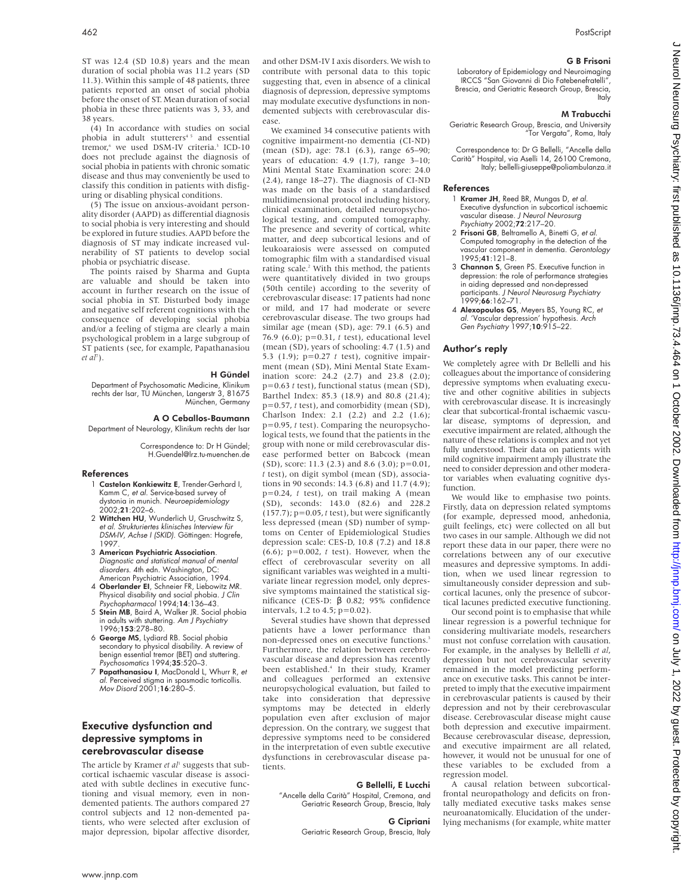ST was 12.4 (SD 10.8) years and the mean duration of social phobia was 11.2 years (SD 11.3). Within this sample of 48 patients, three patients reported an onset of social phobia before the onset of ST. Mean duration of social phobia in these three patients was 3, 33, and 38 years.

(4) In accordance with studies on social phobia in adult stutterers<sup>45</sup> and essential  $t$ remor, $6$  we used DSM-IV criteria. $3$  ICD-10 does not preclude against the diagnosis of social phobia in patients with chronic somatic disease and thus may conveniently be used to classify this condition in patients with disfiguring or disabling physical conditions.

(5) The issue on anxious-avoidant personality disorder (AAPD) as differential diagnosis to social phobia is very interesting and should be explored in future studies. AAPD before the diagnosis of ST may indicate increased vulnerability of ST patients to develop social phobia or psychiatric disease.

The points raised by Sharma and Gupta are valuable and should be taken into account in further research on the issue of social phobia in ST. Disturbed body image and negative self referent cognitions with the consequence of developing social phobia and/or a feeling of stigma are clearly a main psychological problem in a large subgroup of ST patients (see, for example, Papathanasiou *et al*<sup>7</sup> ).

#### H Gündel

Department of Psychosomatic Medicine, Klinikum rechts der Isar, TÚ München, Langerstr 3, 81675 München, Germany

#### A O Ceballos-Baumann

Department of Neurology, Klinikum rechts der Isar

Correspondence to: Dr H Gündel; H.Guendel@lrz.tu-muenchen.de

#### References

- 1 Castelon Konkiewitz E, Trender-Gerhard I, Kamm C, et al. Service-based survey of dystonia in munich. Neuroepidemiology 2002;21:202–6.
- 2 Wittchen HU, Wunderlich U, Gruschwitz S, et al. Strukturiertes klinisches Interview für DSM-IV, Achse I (SKID). Göttingen: Hogrefe, 1997.
- 3 American Psychiatric Association. Diagnostic and statistical manual of mental disorders. 4th edn. Washington, DC: American Psychiatric Association, 1994.
- 4 Oberlander EI, Schneier FR, Liebowitz MR. Physical disability and social phobia. J Clin Psychopharmacol 1994;14:136-43.
- 5 Stein MB, Baird A, Walker JR. Social phobia in adults with stuttering. Am J Psychiatry 1996;153:278–80.
- 6 George MS, Lydiard RB. Social phobia secondary to physical disability. A review of benign essential tremor (BET) and stuttering. Psychosomatics 1994;35:520–3.
- 7 Papathanasiou I, MacDonald L, Whurr R, et al. Perceived stigma in spasmodic torticollis. Mov Disord 2001;16:280-5.

# Executive dysfunction and depressive symptoms in cerebrovascular disease

www.jnnp.com

The article by Kramer *et al*<sup>1</sup> suggests that subcortical ischaemic vascular disease is associated with subtle declines in executive functioning and visual memory, even in nondemented patients. The authors compared 27 control subjects and 12 non-demented patients, who were selected after exclusion of major depression, bipolar affective disorder, and other DSM-IV I axis disorders. We wish to contribute with personal data to this topic suggesting that, even in absence of a clinical diagnosis of depression, depressive symptoms may modulate executive dysfunctions in nondemented subjects with cerebrovascular disease.

We examined 34 consecutive patients with cognitive impairment-no dementia (CI-ND) (mean (SD), age: 78.1 (6.3), range 65–90; years of education: 4.9 (1.7), range 3–10; Mini Mental State Examination score: 24.0 (2.4), range 18–27). The diagnosis of CI-ND was made on the basis of a standardised multidimensional protocol including history, clinical examination, detailed neuropsychological testing, and computed tomography. The presence and severity of cortical, white matter, and deep subcortical lesions and of leukoaraiosis were assessed on computed tomographic film with a standardised visual rating scale.<sup>2</sup> With this method, the patients were quantitatively divided in two groups (50th centile) according to the severity of cerebrovascular disease: 17 patients had none or mild, and 17 had moderate or severe cerebrovascular disease. The two groups had similar age (mean (SD), age: 79.1 (6.5) and 76.9 (6.0); p=0.31, *t* test), educational level (mean (SD), years of schooling: 4.7 (1.5) and 5.3 (1.9); p=0.27 *t* test), cognitive impairment (mean (SD), Mini Mental State Examination score: 24.2 (2.7) and 23.8 (2.0); p=0.63 *t* test), functional status (mean (SD), Barthel Index: 85.3 (18.9) and 80.8 (21.4); p=0.57, *t* test), and comorbidity (mean (SD), Charlson Index: 2.1 (2.2) and 2.2 (1.6); p=0.95, *t* test). Comparing the neuropsychological tests, we found that the patients in the group with none or mild cerebrovascular disease performed better on Babcock (mean (SD), score: 11.3 (2.3) and 8.6 (3.0); p=0.01, *t* test), on digit symbol (mean (SD), associations in 90 seconds: 14.3 (6.8) and 11.7 (4.9); p=0.24, *t* test), on trail making A (mean (SD), seconds: 143.0 (82.6) and 228.2 (157.7); p=0.05, *t* test), but were significantly less depressed (mean (SD) number of symptoms on Center of Epidemiological Studies depression scale: CES-D, 10.8 (7.2) and 18.8 (6.6); p=0.002, *t* test). However, when the effect of cerebrovascular severity on all significant variables was weighted in a multivariate linear regression model, only depressive symptoms maintained the statistical significance (CES-D: β 0.82; 95% confidence intervals, 1.2 to 4.5; p=0.02).

Several studies have shown that depressed patients have a lower performance than non-depressed ones on executive functions. Furthermore, the relation between cerebrovascular disease and depression has recently been established.4 In their study, Kramer and colleagues performed an extensive neuropsychological evaluation, but failed to take into consideration that depressive symptoms may be detected in elderly population even after exclusion of major depression. On the contrary, we suggest that depressive symptoms need to be considered in the interpretation of even subtle executive dysfunctions in cerebrovascular disease patients.

#### G Bellelli, E Lucchi

"Ancelle della Carità" Hospital, Cremona, and Geriatric Research Group, Brescia, Italy

#### G Cipriani

Geriatric Research Group, Brescia, Italy

#### G B Frisoni

Laboratory of Epidemiology and Neuroimaging IRCCS "San Giovanni di Dio Fatebenefratelli Brescia, and Geriatric Research Group, Brescia, Italy

#### M Trabucchi

Geriatric Research Group, Brescia, and University "Tor Vergata", Roma, Italy

Correspondence to: Dr G Bellelli, "Ancelle della Carità" Hospital, via Aselli 14, 26100 Cremona, Italy; bellelli-giuseppe@poliambulanza.it

#### References

- 1 **Kramer JH**, Reed BR, Mungas D, et al. Executive dysfunction in subcortical ischaemic vascular disease. J Neurol Neurosurg Psychiatry 2002;72:217–20.
- 2 Frisoni GB, Beltramello A, Binetti G, et al. Computed tomography in the detection of the vascular component in dementia. Gerontology 1995;41:121–8.
- 3 Channon S, Green PS. Executive function in depression: the role of performance strategies in aiding depressed and non-depressed participants. J Neurol Neurosurg Psychiatry 1999;66:162–71.
- 4 Alexopoulos GS, Meyers BS, Young RC, et al. 'Vascular depression' hypothesis. Arch Gen Psychiatry 1997;10:915–22.

#### Author's reply

We completely agree with Dr Bellelli and his colleagues about the importance of considering depressive symptoms when evaluating executive and other cognitive abilities in subjects with cerebrovascular disease. It is increasingly clear that subcortical-frontal ischaemic vascular disease, symptoms of depression, and executive impairment are related, although the nature of these relations is complex and not yet fully understood. Their data on patients with mild cognitive impairment amply illustrate the need to consider depression and other moderator variables when evaluating cognitive dysfunction.

We would like to emphasise two points. Firstly, data on depression related symptoms (for example, depressed mood, anhedonia, guilt feelings, etc) were collected on all but two cases in our sample. Although we did not report these data in our paper, there were no correlations between any of our executive measures and depressive symptoms. In addition, when we used linear regression to simultaneously consider depression and subcortical lacunes, only the presence of subcortical lacunes predicted executive functioning.

Our second point is to emphasise that while linear regression is a powerful technique for considering multivariate models, researchers must not confuse correlation with causation. For example, in the analyses by Bellelli *et al*, depression but not cerebrovascular severity remained in the model predicting performance on executive tasks. This cannot be interpreted to imply that the executive impairment in cerebrovascular patients is caused by their depression and not by their cerebrovascular disease. Cerebrovascular disease might cause both depression and executive impairment. Because cerebrovascular disease, depression, and executive impairment are all related, however, it would not be unusual for one of these variables to be excluded from a regression model.

A causal relation between subcorticalfrontal neuropathology and deficits on frontally mediated executive tasks makes sense neuroanatomically. Elucidation of the underlying mechanisms (for example, white matter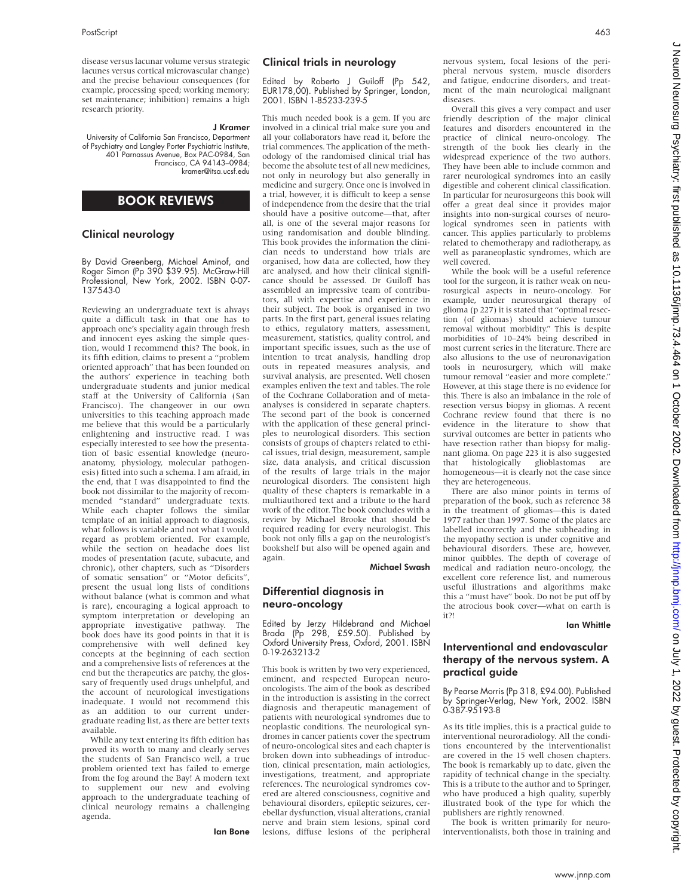disease versus lacunar volume versus strategic lacunes versus cortical microvascular change) and the precise behaviour consequences (for example, processing speed; working memory; set maintenance; inhibition) remains a high research priority.

#### J Kramer

University of California San Francisco, Department of Psychiatry and Langley Porter Psychiatric Institute, 401 Parnassus Avenue, Box PAC-0984, San Francisco, CA 94143–0984; kramer@itsa.ucsf.edu

# BOOK REVIEWS

#### Clinical neurology

By David Greenberg, Michael Aminof, and Roger Simon (Pp 390 \$39.95). McGraw-Hill Professional, New York, 2002. ISBN 0-07- 137543-0

Reviewing an undergraduate text is always quite a difficult task in that one has to approach one's speciality again through fresh and innocent eyes asking the simple question, would I recommend this? The book, in its fifth edition, claims to present a "problem oriented approach" that has been founded on the authors' experience in teaching both undergraduate students and junior medical staff at the University of California (San Francisco). The changeover in our own universities to this teaching approach made me believe that this would be a particularly enlightening and instructive read. I was especially interested to see how the presentation of basic essential knowledge (neuroanatomy, physiology, molecular pathogenesis) fitted into such a schema. I am afraid, in the end, that I was disappointed to find the book not dissimilar to the majority of recommended "standard" undergraduate texts. While each chapter follows the similar template of an initial approach to diagnosis, what follows is variable and not what I would regard as problem oriented. For example, while the section on headache does list modes of presentation (acute, subacute, and chronic), other chapters, such as "Disorders of somatic sensation" or "Motor deficits", present the usual long lists of conditions without balance (what is common and what is rare), encouraging a logical approach to symptom interpretation or developing an appropriate investigative pathway. The book does have its good points in that it is comprehensive with well defined key concepts at the beginning of each section and a comprehensive lists of references at the end but the therapeutics are patchy, the glossary of frequently used drugs unhelpful, and the account of neurological investigations inadequate. I would not recommend this as an addition to our current undergraduate reading list, as there are better texts available.

While any text entering its fifth edition has proved its worth to many and clearly serves the students of San Francisco well, a true problem oriented text has failed to emerge from the fog around the Bay! A modern text to supplement our new and evolving approach to the undergraduate teaching of clinical neurology remains a challenging agenda.

Ian Bone

# Clinical trials in neurology

Edited by Roberto J Guiloff (Pp 542, EUR178,00). Published by Springer, London, 2001. ISBN 1-85233-239-5

This much needed book is a gem. If you are involved in a clinical trial make sure you and all your collaborators have read it, before the trial commences. The application of the methodology of the randomised clinical trial has become the absolute test of all new medicines, not only in neurology but also generally in medicine and surgery. Once one is involved in a trial, however, it is difficult to keep a sense of independence from the desire that the trial should have a positive outcome—that, after all, is one of the several major reasons for using randomisation and double blinding. This book provides the information the clinician needs to understand how trials are organised, how data are collected, how they are analysed, and how their clinical significance should be assessed. Dr Guiloff has assembled an impressive team of contributors, all with expertise and experience in their subject. The book is organised in two parts. In the first part, general issues relating to ethics, regulatory matters, assessment, measurement, statistics, quality control, and important specific issues, such as the use of intention to treat analysis, handling drop outs in repeated measures analysis, and survival analysis, are presented. Well chosen examples enliven the text and tables. The role of the Cochrane Collaboration and of metaanalyses is considered in separate chapters. The second part of the book is concerned with the application of these general principles to neurological disorders. This section consists of groups of chapters related to ethical issues, trial design, measurement, sample size, data analysis, and critical discussion of the results of large trials in the major neurological disorders. The consistent high quality of these chapters is remarkable in a multiauthored text and a tribute to the hard work of the editor. The book concludes with a review by Michael Brooke that should be required reading for every neurologist. This book not only fills a gap on the neurologist's bookshelf but also will be opened again and again.

#### Michael Swash

# Differential diagnosis in neuro-oncology

Edited by Jerzy Hildebrand and Michael Brada (Pp 298, £59.50). Published by Oxford University Press, Oxford, 2001. ISBN 0-19-263213-2

This book is written by two very experienced, eminent, and respected European neurooncologists. The aim of the book as described in the introduction is assisting in the correct diagnosis and therapeutic management of patients with neurological syndromes due to neoplastic conditions. The neurological syndromes in cancer patients cover the spectrum of neuro-oncological sites and each chapter is broken down into subheadings of introduction, clinical presentation, main aetiologies, investigations, treatment, and appropriate references. The neurological syndromes covered are altered consciousness, cognitive and behavioural disorders, epileptic seizures, cerebellar dysfunction, visual alterations, cranial nerve and brain stem lesions, spinal cord lesions, diffuse lesions of the peripheral

nervous system, focal lesions of the peripheral nervous system, muscle disorders and fatigue, endocrine disorders, and treatment of the main neurological malignant diseases.

Overall this gives a very compact and user friendly description of the major clinical features and disorders encountered in the practice of clinical neuro-oncology. The strength of the book lies clearly in the widespread experience of the two authors. They have been able to include common and rarer neurological syndromes into an easily digestible and coherent clinical classification. In particular for neurosurgeons this book will offer a great deal since it provides major insights into non-surgical courses of neurological syndromes seen in patients with cancer. This applies particularly to problems related to chemotherapy and radiotherapy, as well as paraneoplastic syndromes, which are well covered.

While the book will be a useful reference tool for the surgeon, it is rather weak on neurosurgical aspects in neuro-oncology. For example, under neurosurgical therapy of glioma (p 227) it is stated that "optimal resection (of gliomas) should achieve tumour removal without morbidity." This is despite morbidities of 10–24% being described in most current series in the literature. There are also allusions to the use of neuronavigation tools in neurosurgery, which will make tumour removal "easier and more complete." However, at this stage there is no evidence for this. There is also an imbalance in the role of resection versus biopsy in gliomas. A recent Cochrane review found that there is no evidence in the literature to show that survival outcomes are better in patients who have resection rather than biopsy for malignant glioma. On page 223 it is also suggested<br>that histologically glioblastomas are that histologically glioblastomas are homogeneous—it is clearly not the case since they are heterogeneous.

There are also minor points in terms of preparation of the book, such as reference 38 in the treatment of gliomas—this is dated 1977 rather than 1997. Some of the plates are labelled incorrectly and the subheading in the myopathy section is under cognitive and behavioural disorders. These are, however, minor quibbles. The depth of coverage of medical and radiation neuro-oncology, the excellent core reference list, and numerous useful illustrations and algorithms make this a "must have" book. Do not be put off by the atrocious book cover—what on earth is it?!

Ian Whittle

# Interventional and endovascular therapy of the nervous system. A practical guide

#### By Pearse Morris (Pp 318, £94.00). Published by Springer-Verlag, New York, 2002. ISBN 0-387-95193-8

As its title implies, this is a practical guide to interventional neuroradiology. All the conditions encountered by the interventionalist are covered in the 15 well chosen chapters. The book is remarkably up to date, given the rapidity of technical change in the specialty. This is a tribute to the author and to Springer, who have produced a high quality, superbly illustrated book of the type for which the publishers are rightly renowned.

The book is written primarily for neurointerventionalists, both those in training and